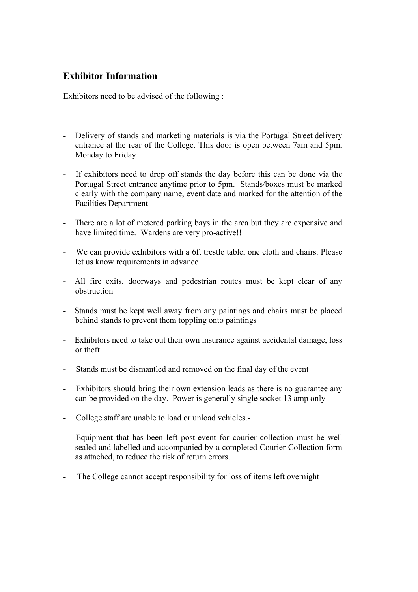# **Exhibitor Information**

Exhibitors need to be advised of the following :

- Delivery of stands and marketing materials is via the Portugal Street delivery entrance at the rear of the College. This door is open between 7am and 5pm, Monday to Friday
- If exhibitors need to drop off stands the day before this can be done via the Portugal Street entrance anytime prior to 5pm. Stands/boxes must be marked clearly with the company name, event date and marked for the attention of the Facilities Department
- There are a lot of metered parking bays in the area but they are expensive and have limited time. Wardens are very pro-active!!
- We can provide exhibitors with a 6ft trestle table, one cloth and chairs. Please let us know requirements in advance
- All fire exits, doorways and pedestrian routes must be kept clear of any obstruction
- Stands must be kept well away from any paintings and chairs must be placed behind stands to prevent them toppling onto paintings
- Exhibitors need to take out their own insurance against accidental damage, loss or theft
- Stands must be dismantled and removed on the final day of the event
- Exhibitors should bring their own extension leads as there is no guarantee any can be provided on the day. Power is generally single socket 13 amp only
- College staff are unable to load or unload vehicles.-
- Equipment that has been left post-event for courier collection must be well sealed and labelled and accompanied by a completed Courier Collection form as attached, to reduce the risk of return errors.
- The College cannot accept responsibility for loss of items left overnight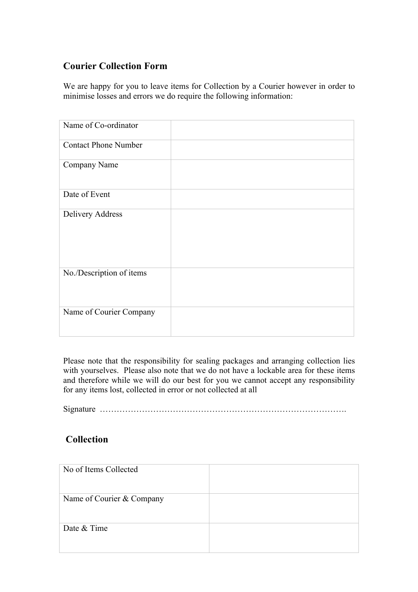# **Courier Collection Form**

We are happy for you to leave items for Collection by a Courier however in order to minimise losses and errors we do require the following information:

| Name of Co-ordinator        |  |
|-----------------------------|--|
| <b>Contact Phone Number</b> |  |
| Company Name                |  |
| Date of Event               |  |
| Delivery Address            |  |
| No./Description of items    |  |
| Name of Courier Company     |  |

Please note that the responsibility for sealing packages and arranging collection lies with yourselves. Please also note that we do not have a lockable area for these items and therefore while we will do our best for you we cannot accept any responsibility for any items lost, collected in error or not collected at all

Signature …………………………………………………………………………….

# **Collection**